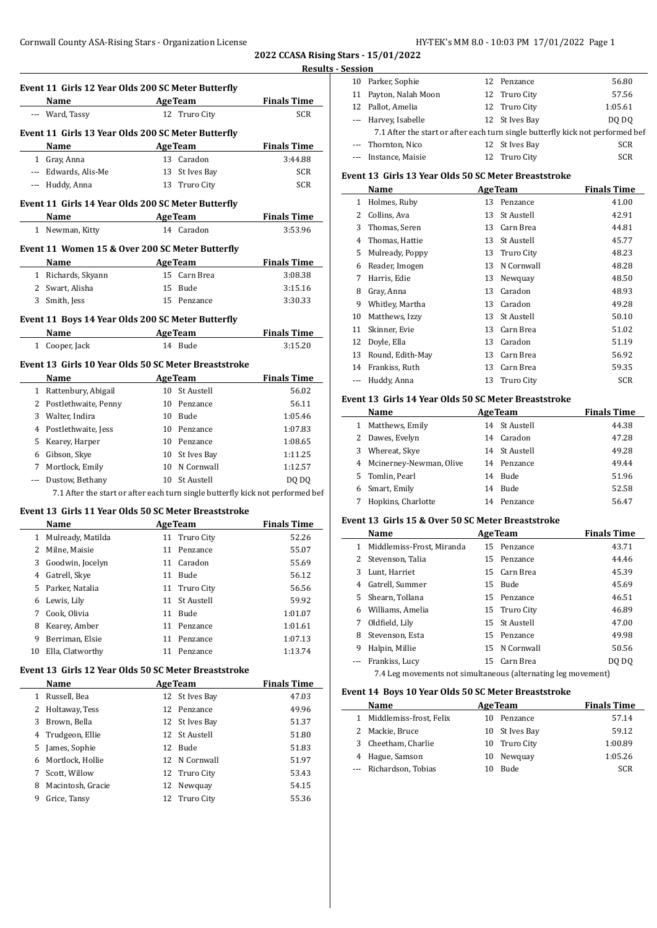**2022 CCASA Rising Stars - 15/01/2022 Results - Session**

|              |                                                      |    |                         |                                                                                | <b>PERSI</b>   |
|--------------|------------------------------------------------------|----|-------------------------|--------------------------------------------------------------------------------|----------------|
|              | Event 11 Girls 12 Year Olds 200 SC Meter Butterfly   |    |                         |                                                                                | 10<br>11       |
|              | Name                                                 |    |                         | <b>Example 2 Age Team</b> Finals Time                                          | 12             |
|              | --- Ward, Tassy                                      |    | 12 Truro City           | <b>SCR</b>                                                                     | ---            |
|              | Event 11 Girls 13 Year Olds 200 SC Meter Butterfly   |    |                         |                                                                                |                |
|              | Name<br><b>Example 2 AgeTeam</b>                     |    |                         | <b>Example 1</b> Finals Time                                                   |                |
|              | 1 Gray, Anna                                         |    | 13 Caradon              | 3:44.88                                                                        |                |
|              | --- Edwards, Alis-Me                                 |    | 13 St Ives Bay          | <b>SCR</b>                                                                     |                |
|              | --- Huddy, Anna                                      |    | 13 Truro City           | SCR                                                                            | Even           |
|              |                                                      |    |                         |                                                                                |                |
|              | Event 11 Girls 14 Year Olds 200 SC Meter Butterfly   |    |                         |                                                                                | $\mathbf{1}$   |
|              | AgeTeam<br>Name                                      |    |                         | <b>Example 2 Finals Time</b>                                                   | 2              |
|              | 1 Newman, Kitty                                      |    | 14 Caradon              | 3:53.96                                                                        | 3<br>4         |
|              | Event 11 Women 15 & Over 200 SC Meter Butterfly      |    |                         |                                                                                | 5              |
|              | Name AgeTeam Finals Time                             |    |                         |                                                                                | 6              |
|              | 1 Richards, Skyann                                   |    | 15 Carn Brea            | 3:08.38                                                                        | 7              |
|              | 2 Swart, Alisha                                      |    | 15 Bude                 | 3:15.16                                                                        | 8              |
|              | 3 Smith, Jess                                        |    | 15 Penzance             | 3:30.33                                                                        | 9              |
|              |                                                      |    |                         |                                                                                | 10             |
|              | Event 11 Boys 14 Year Olds 200 SC Meter Butterfly    |    |                         |                                                                                | 11             |
|              | Name AgeTeam<br>1 Cooper, Jack                       |    | 14 Bude                 | <b>Finals Time</b><br>3:15.20                                                  | 12             |
|              |                                                      |    |                         |                                                                                | 13             |
|              | Event 13 Girls 10 Year Olds 50 SC Meter Breaststroke |    |                         |                                                                                | 14             |
|              | <b>Example 2018 Age Team</b><br>Name                 |    |                         | <b>Finals Time</b>                                                             | ---            |
|              | 1 Rattenbury, Abigail                                |    | 10 St Austell           | 56.02                                                                          |                |
|              | 2 Postlethwaite, Penny                               |    | 10 Penzance             | 56.11                                                                          | Even           |
|              | 3 Walter, Indira                                     |    | 10 Bude                 | 1:05.46                                                                        |                |
|              | 4 Postlethwaite, Jess                                |    | 10 Penzance             | 1:07.83                                                                        | 1              |
|              | 5 Kearey, Harper                                     |    | 10 Penzance             | 1:08.65                                                                        | 2              |
|              | 6 Gibson, Skye                                       |    | 10 St Ives Bay          | 1:11.25                                                                        | 3              |
|              | 7 Mortlock, Emily                                    |    | 10 N Cornwall           | 1:12.57                                                                        | $\overline{4}$ |
|              | --- Dustow, Bethany                                  |    | 10 St Austell           | DQ DQ                                                                          | 5              |
|              |                                                      |    |                         | 7.1 After the start or after each turn single butterfly kick not performed bef | 6<br>7         |
|              | Event 13 Girls 11 Year Olds 50 SC Meter Breaststroke |    |                         |                                                                                |                |
|              | <b>Example 2.1 Age Team</b><br>Name                  |    |                         | <b>Finals Time</b>                                                             | Even           |
|              | 1 Mulready, Matilda                                  |    | 11 Truro City           | 52.26                                                                          |                |
|              | 2 Milne, Maisie                                      |    | 11 Penzance             | 55.07                                                                          | $\mathbf{1}$   |
|              | 3 Goodwin, Jocelyn                                   |    | 11 Caradon              | 55.69                                                                          | 2              |
|              | 4 Gatrell, Skye                                      |    | 11 Bude                 | 56.12                                                                          | 3              |
|              | 5 Parker, Natalia                                    | 11 | Truro City              | 56.56                                                                          | 4              |
| 6            | Lewis, Lily                                          | 11 | St Austell              | 59.92                                                                          | 5              |
| 7            | Cook, Olivia                                         | 11 | Bude                    | 1:01.07                                                                        | 6              |
| 8            | Kearey, Amber                                        | 11 | Penzance                | 1:01.61                                                                        | 7              |
| 9            | Berriman, Elsie                                      | 11 | Penzance                | 1:07.13                                                                        | 8              |
| 10           | Ella, Clatworthy                                     | 11 | Penzance                | 1:13.74                                                                        | 9              |
|              | Event 13 Girls 12 Year Olds 50 SC Meter Breaststroke |    |                         |                                                                                |                |
|              | Name                                                 |    | <b>AgeTeam</b>          | <b>Finals Time</b>                                                             |                |
| $\mathbf{1}$ | Russell, Bea                                         | 12 | St Ives Bay             | 47.03                                                                          | Even           |
| 2            |                                                      | 12 |                         |                                                                                |                |
| 3            | Holtaway, Tess<br>Brown, Bella                       | 12 | Penzance<br>St Ives Bay | 49.96<br>51.37                                                                 | 1              |
| 4            | Trudgeon, Ellie                                      | 12 | St Austell              | 51.80                                                                          | 2              |
| 5            | James, Sophie                                        |    | 12 Bude                 | 51.83                                                                          | 3              |
| 6            | Mortlock, Hollie                                     |    | 12 N Cornwall           | 51.97                                                                          | 4              |
| 7            | Scott, Willow                                        | 12 | Truro City              | 53.43                                                                          |                |
| 8            | Macintosh, Gracie                                    | 12 | Newquay                 | 54.15                                                                          |                |
| 9            | Grice, Tansy                                         | 12 | Truro City              | 55.36                                                                          |                |
|              |                                                      |    |                         |                                                                                |                |
|              |                                                      |    |                         |                                                                                |                |

| еээічі |                                                                                |                |            |
|--------|--------------------------------------------------------------------------------|----------------|------------|
|        | 10 Parker, Sophie                                                              | 12 Penzance    | 56.80      |
|        | 11 Payton, Nalah Moon                                                          | 12 Truro City  | 57.56      |
|        | 12 Pallot, Amelia                                                              | 12 Truro City  | 1:05.61    |
|        | --- Harvey, Isabelle                                                           | 12 St Ives Bay | DO DO      |
|        | 7.1 After the start or after each turn single butterfly kick not performed bef |                |            |
|        | --- Thornton, Nico                                                             | 12 St Ives Bay | <b>SCR</b> |
|        | Instance, Maisie                                                               | 12 Truro City  | <b>SCR</b> |
|        |                                                                                |                |            |

## **Event 13 Girls 13 Year Olds 50 SC Meter Breaststroke**

|    | Name             |    | <b>AgeTeam</b>    | <b>Finals Time</b> |
|----|------------------|----|-------------------|--------------------|
| 1  | Holmes, Ruby     | 13 | Penzance          | 41.00              |
| 2  | Collins, Ava     | 13 | <b>St Austell</b> | 42.91              |
| 3  | Thomas, Seren    | 13 | Carn Brea         | 44.81              |
| 4  | Thomas, Hattie   | 13 | St Austell        | 45.77              |
| 5  | Mulready, Poppy  | 13 | Truro City        | 48.23              |
| 6  | Reader, Imogen   | 13 | N Cornwall        | 48.28              |
| 7  | Harris, Edie     | 13 | Newquay           | 48.50              |
| 8  | Gray, Anna       | 13 | Caradon           | 48.93              |
| 9  | Whitley, Martha  | 13 | Caradon           | 49.28              |
| 10 | Matthews, Izzy   | 13 | <b>St Austell</b> | 50.10              |
| 11 | Skinner, Evie    | 13 | Carn Brea         | 51.02              |
| 12 | Doyle, Ella      | 13 | Caradon           | 51.19              |
| 13 | Round, Edith-May | 13 | Carn Brea         | 56.92              |
| 14 | Frankiss, Ruth   | 13 | Carn Brea         | 59.35              |
|    | Huddy, Anna      | 13 | Truro City        | SCR                |

## **Event 13 Girls 14 Year Olds 50 SC Meter Breaststroke**

|   | Name                      | <b>AgeTeam</b> |               | <b>Finals Time</b> |
|---|---------------------------|----------------|---------------|--------------------|
| 1 | Matthews, Emily           |                | 14 St Austell | 44.38              |
|   | 2 Dawes, Evelyn           |                | 14 Caradon    | 47.28              |
| 3 | Whereat, Skye             |                | 14 St Austell | 49.28              |
|   | 4 Mcinerney-Newman, Olive |                | 14 Penzance   | 49.44              |
|   | 5 Tomlin, Pearl           | 14             | Bude          | 51.96              |
| 6 | Smart, Emily              | 14             | <b>Bude</b>   | 52.58              |
|   | Hopkins, Charlotte        | 14             | Penzance      | 56.47              |

## **Event 13 Girls 15 & Over 50 SC Meter Breaststroke**

|    | Name                                                          |  | <b>AgeTeam</b> | <b>Finals Time</b> |  |  |
|----|---------------------------------------------------------------|--|----------------|--------------------|--|--|
| 1  | Middlemiss-Frost, Miranda                                     |  | 15 Penzance    | 43.71              |  |  |
| 2  | Stevenson, Talia                                              |  | 15 Penzance    | 44.46              |  |  |
| 3  | Lunt, Harriet                                                 |  | 15 Carn Brea   | 45.39              |  |  |
| 4  | Gatrell, Summer                                               |  | 15 Bude        | 45.69              |  |  |
| 5. | Shearn, Tollana                                               |  | 15 Penzance    | 46.51              |  |  |
| 6  | Williams, Amelia                                              |  | 15 Truro City  | 46.89              |  |  |
| 7  | Oldfield, Lily                                                |  | 15 St Austell  | 47.00              |  |  |
| 8  | Stevenson, Esta                                               |  | 15 Penzance    | 49.98              |  |  |
| 9  | Halpin, Millie                                                |  | 15 N Cornwall  | 50.56              |  |  |
|    | Frankiss, Lucy                                                |  | 15 Carn Brea   | DQ DO              |  |  |
|    | 7.4 Leg movements not simultaneous (alternating leg movement) |  |                |                    |  |  |

## **Event 14 Boys 10 Year Olds 50 SC Meter Breaststroke**

| Name                      |     | <b>AgeTeam</b> | <b>Finals Time</b> |
|---------------------------|-----|----------------|--------------------|
| 1 Middlemiss-frost, Felix | 10. | Penzance       | 57.14              |
| 2 Mackie, Bruce           |     | 10 St Ives Bay | 59.12              |
| 3 Cheetham, Charlie       |     | 10 Truro City  | 1:00.89            |
| 4 Hague, Samson           | 10  | Newguay        | 1:05.26            |
| --- Richardson, Tobias    | 10  | <b>Bude</b>    | <b>SCR</b>         |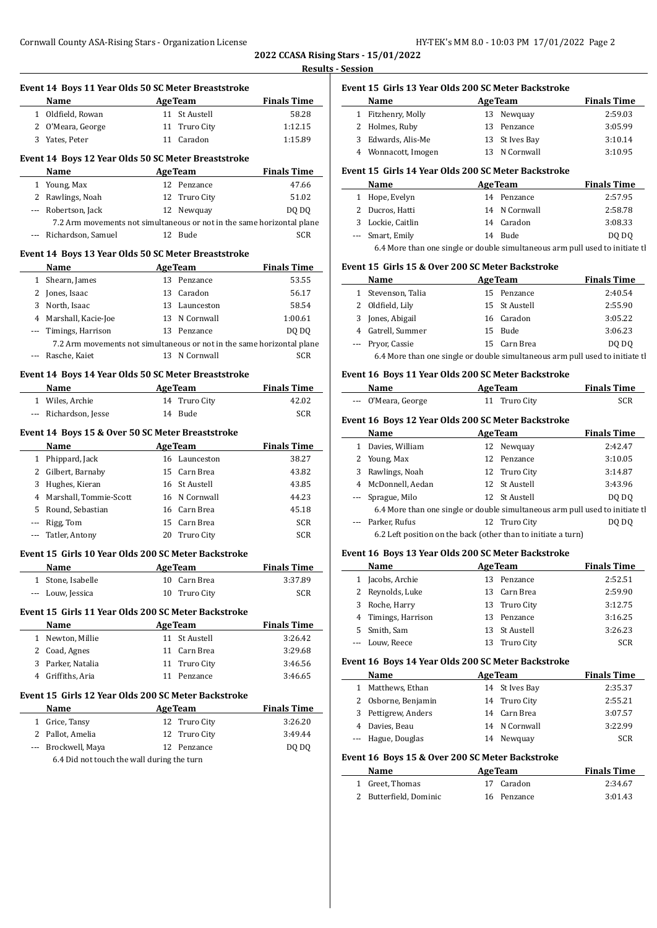**Event 14 Boys 11 Year Olds 50 SC Meter Breaststroke**

**2022 CCASA Rising Stars - 15/01/2022 Results - Session**

 $\overline{a}$ 

 $\overline{a}$ 

 $\frac{1}{2}$ 

| Name                                                                   |    | <b>AgeTeam</b>                 | <b>Finals Time</b>          |
|------------------------------------------------------------------------|----|--------------------------------|-----------------------------|
| 1 Oldfield, Rowan                                                      |    | 11 St Austell                  | 58.28                       |
| 2 O'Meara, George                                                      |    | 11 Truro City                  | 1:12.15                     |
| 3 Yates, Peter                                                         |    | 11 Caradon                     | 1:15.89                     |
|                                                                        |    |                                |                             |
| Event 14 Boys 12 Year Olds 50 SC Meter Breaststroke<br>Name            |    |                                |                             |
|                                                                        |    | <b>AgeTeam</b><br>12 Penzance  | <b>Finals Time</b><br>47.66 |
| 1 Young, Max<br>2 Rawlings, Noah                                       |    | 12 Truro City                  | 51.02                       |
| --- Robertson, Jack                                                    |    | 12 Newquay                     | DQ DQ                       |
| 7.2 Arm movements not simultaneous or not in the same horizontal plane |    |                                |                             |
| --- Richardson, Samuel                                                 |    | 12 Bude                        | SCR                         |
| Event 14 Boys 13 Year Olds 50 SC Meter Breaststroke                    |    |                                |                             |
| <b>Example 2.1 Age Team</b><br>Name                                    |    |                                | <b>Finals Time</b>          |
| 1 Shearn, James                                                        |    | 13 Penzance                    | 53.55                       |
| 2 Jones, Isaac                                                         |    | 13 Caradon                     | 56.17                       |
| 3 North, Isaac                                                         |    | 13 Launceston                  | 58.54                       |
| 4 Marshall, Kacie-Joe                                                  |    | 13 N Cornwall                  | 1:00.61                     |
| --- Timings, Harrison                                                  |    | 13 Penzance                    | DQ DQ                       |
| 7.2 Arm movements not simultaneous or not in the same horizontal plane |    |                                |                             |
| --- Rasche, Kaiet                                                      |    | 13 N Cornwall                  | <b>SCR</b>                  |
| Event 14 Boys 14 Year Olds 50 SC Meter Breaststroke                    |    |                                |                             |
| Name AgeTeam                                                           |    |                                | <b>Finals Time</b>          |
| 1 Wiles, Archie                                                        | 14 | Truro City                     | 42.02                       |
| --- Richardson, Jesse                                                  |    | 14 Bude                        | <b>SCR</b>                  |
|                                                                        |    |                                |                             |
| Event 14 Boys 15 & Over 50 SC Meter Breaststroke                       |    |                                |                             |
| Name                                                                   |    | <b>AgeTeam</b>                 | <b>Finals Time</b><br>38.27 |
| 1 Phippard, Jack                                                       |    | 16 Launceston<br>15 Carn Brea  |                             |
| 2 Gilbert, Barnaby                                                     |    |                                | 43.82                       |
| 3 Hughes, Kieran<br>4 Marshall, Tommie-Scott                           |    | 16 St Austell<br>16 N Cornwall | 43.85                       |
|                                                                        |    | 16 Carn Brea                   | 44.23                       |
| 5 Round, Sebastian                                                     |    | 15 Carn Brea                   | 45.18                       |
| --- Rigg, Tom<br>--- Tatler, Antony                                    |    | 20 Truro City                  | <b>SCR</b><br><b>SCR</b>    |
|                                                                        |    |                                |                             |
| Event 15 Girls 10 Year Olds 200 SC Meter Backstroke                    |    |                                |                             |
| Name                                                                   |    | <b>AgeTeam</b>                 | <b>Finals Time</b>          |
| 1 Stone, Isabelle                                                      |    | 10 Carn Brea                   | 3:37.89                     |
| Louw, Jessica                                                          | 10 | Truro City                     | <b>SCR</b>                  |
| Event 15 Girls 11 Year Olds 200 SC Meter Backstroke                    |    |                                |                             |
| Name                                                                   |    | <b>AgeTeam</b>                 | <b>Finals Time</b>          |
| 1 Newton, Millie                                                       |    | 11 St Austell                  | 3:26.42                     |
| 2 Coad, Agnes                                                          |    | 11 Carn Brea                   | 3:29.68                     |
| 3 Parker, Natalia                                                      |    | 11 Truro City                  | 3:46.56                     |
| 4 Griffiths, Aria                                                      | 11 | Penzance                       | 3:46.65                     |
| Event 15 Girls 12 Year Olds 200 SC Meter Backstroke                    |    |                                |                             |
| Name                                                                   |    | <b>AgeTeam</b>                 | <b>Finals Time</b>          |
| 1 Grice, Tansy                                                         |    | 12 Truro City                  | 3:26.20                     |
| 2 Pallot, Amelia                                                       | 12 | Truro City                     | 3:49.44                     |
| --- Brockwell, Maya                                                    | 12 | Penzance                       | DQ DQ                       |
| 6.4 Did not touch the wall during the turn                             |    |                                |                             |
|                                                                        |    |                                |                             |

## **Event 15 Girls 13 Year Olds 200 SC Meter Backstroke Name Age Team Finals Time** 1 Fitzhenry, Molly 13 Newquay 2:59.03 2 Holmes, Ruby 13 Penzance 3:05.99 3 Edwards, Alis-Me 13 St Ives Bay 3:10.14 4 Wonnacott, Imogen 13 N Cornwall 3:10.95

## **Event 15 Girls 14 Year Olds 200 SC Meter Backstroke**

|                                                                               | Name              |  | <b>AgeTeam</b> | <b>Finals Time</b> |  |  |
|-------------------------------------------------------------------------------|-------------------|--|----------------|--------------------|--|--|
| $\mathbf{1}$                                                                  | Hope, Evelyn      |  | 14 Penzance    | 2:57.95            |  |  |
|                                                                               | 2 Ducros, Hatti   |  | 14 N Cornwall  | 2:58.78            |  |  |
|                                                                               | 3 Lockie, Caitlin |  | 14 Caradon     | 3:08.33            |  |  |
|                                                                               | --- Smart, Emily  |  | 14 Bude        | DO DO              |  |  |
| 6.4 More than one single or double simultaneous arm pull used to initiate the |                   |  |                |                    |  |  |

## **Event 15 Girls 15 & Over 200 SC Meter Backstroke**

| <b>Name</b>                                                                   |  | <b>AgeTeam</b> | <b>Finals Time</b> |  |  |  |  |
|-------------------------------------------------------------------------------|--|----------------|--------------------|--|--|--|--|
| 1 Stevenson, Talia                                                            |  | 15 Penzance    | 2:40.54            |  |  |  |  |
| 2 Oldfield, Lily                                                              |  | 15 St Austell  | 2:55.90            |  |  |  |  |
| 3 Jones, Abigail                                                              |  | 16 Caradon     | 3:05.22            |  |  |  |  |
| 4 Gatrell, Summer                                                             |  | 15 Bude        | 3:06.23            |  |  |  |  |
| --- Pryor, Cassie                                                             |  | 15 Carn Brea   | DO DO              |  |  |  |  |
| 6.4 More than one single or double simultaneous arm pull used to initiate the |  |                |                    |  |  |  |  |

## **Event 16 Boys 11 Year Olds 200 SC Meter Backstroke**

| Name                | <b>AgeTeam</b> | <b>Finals Time</b> |
|---------------------|----------------|--------------------|
| --- O'Meara, George | 11 Truro City  | <b>SCR</b>         |

#### **Event 16 Boys 12 Year Olds 200 SC Meter Backstroke**

|   | Name                                                                          | <b>AgeTeam</b> | <b>Finals Time</b> |
|---|-------------------------------------------------------------------------------|----------------|--------------------|
|   | Davies, William                                                               | 12 Newquay     | 2:42.47            |
|   | 2 Young, Max                                                                  | 12 Penzance    | 3:10.05            |
| 3 | Rawlings, Noah                                                                | 12 Truro City  | 3:14.87            |
| 4 | McDonnell, Aedan                                                              | 12 St Austell  | 3:43.96            |
|   | --- Sprague, Milo                                                             | 12 St Austell  | DO DO              |
|   | 6.4 More than one single or double simultaneous arm pull used to initiate the |                |                    |
|   | --- Parker, Rufus                                                             | 12 Truro City  | DQ DQ              |
|   | 6.2 Left position on the back (other than to initiate a turn)                 |                |                    |
|   |                                                                               |                |                    |

## **Event 16 Boys 13 Year Olds 200 SC Meter Backstroke**

|   | Name                |     | <b>AgeTeam</b> | <b>Finals Time</b> |
|---|---------------------|-----|----------------|--------------------|
|   | Jacobs, Archie      |     | 13 Penzance    | 2:52.51            |
| 2 | Reynolds, Luke      | 13. | Carn Brea      | 2:59.90            |
| 3 | Roche, Harry        |     | 13 Truro City  | 3:12.75            |
|   | 4 Timings, Harrison |     | 13 Penzance    | 3:16.25            |
|   | 5 Smith, Sam        |     | 13 St Austell  | 3:26.23            |
|   | --- Louw, Reece     |     | Truro City     | <b>SCR</b>         |

## **Event 16 Boys 14 Year Olds 200 SC Meter Backstroke**

|    | Name                | <b>AgeTeam</b> | <b>Finals Time</b> |
|----|---------------------|----------------|--------------------|
| 1. | Matthews, Ethan     | 14 St Ives Bay | 2:35.37            |
|    | 2 Osborne, Benjamin | 14 Truro City  | 2:55.21            |
|    | 3 Pettigrew, Anders | 14 Carn Brea   | 3:07.57            |
|    | 4 Davies, Beau      | 14 N Cornwall  | 3:22.99            |
|    | --- Hague, Douglas  | 14 Newguay     | SCR                |

## **Event 16 Boys 15 & Over 200 SC Meter Backstroke**

| Name                   | <b>AgeTeam</b> | <b>Finals Time</b> |  |
|------------------------|----------------|--------------------|--|
| 1 Greet, Thomas        | 17 Caradon     | 2:34.67            |  |
| 2 Butterfield, Dominic | 16 Penzance    | 3:01.43            |  |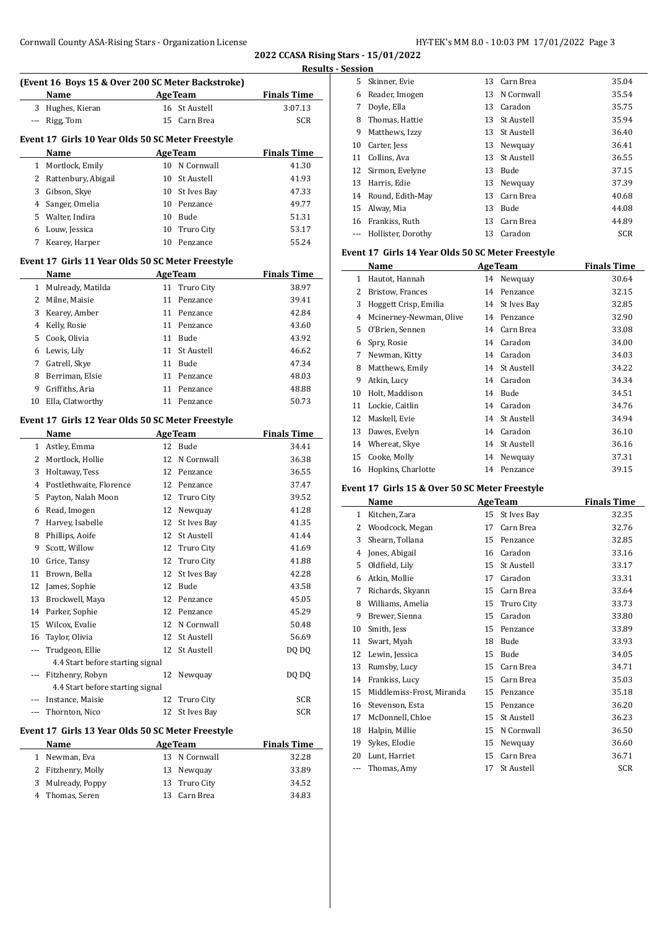**2022 CCASA Rising Stars - 15/01/2022 Results - Session**

|                                                   | (Event 16 Boys 15 & Over 200 SC Meter Backstroke) |                |                   |                    |  |  |  |  |  |
|---------------------------------------------------|---------------------------------------------------|----------------|-------------------|--------------------|--|--|--|--|--|
|                                                   | Name                                              | <b>AgeTeam</b> |                   | <b>Finals Time</b> |  |  |  |  |  |
| 3                                                 | Hughes, Kieran                                    |                | 16 St Austell     | 3:07.13            |  |  |  |  |  |
| ---                                               | Rigg, Tom                                         |                | 15 Carn Brea      | SCR                |  |  |  |  |  |
| Event 17 Girls 10 Year Olds 50 SC Meter Freestyle |                                                   |                |                   |                    |  |  |  |  |  |
|                                                   | <b>AgeTeam</b><br><b>Finals Time</b><br>Name      |                |                   |                    |  |  |  |  |  |
| $\mathbf{1}$                                      | Mortlock, Emily                                   |                | 10 N Cornwall     | 41.30              |  |  |  |  |  |
| 2                                                 | Rattenbury, Abigail                               |                | 10 St Austell     | 41.93              |  |  |  |  |  |
| 3                                                 | Gibson, Skye                                      |                | 10 St Ives Bay    | 47.33              |  |  |  |  |  |
| 4                                                 | Sanger, Omelia                                    |                | 10 Penzance       | 49.77              |  |  |  |  |  |
| 5                                                 | Walter, Indira                                    |                | 10 Bude           | 51.31              |  |  |  |  |  |
|                                                   | 6 Louw, Jessica                                   |                | 10 Truro City     | 53.17              |  |  |  |  |  |
| 7                                                 | Kearey, Harper                                    |                | 10 Penzance       | 55.24              |  |  |  |  |  |
|                                                   |                                                   |                |                   |                    |  |  |  |  |  |
|                                                   | Event 17 Girls 11 Year Olds 50 SC Meter Freestyle |                |                   |                    |  |  |  |  |  |
|                                                   | Name                                              |                | AgeTeam           | <b>Finals Time</b> |  |  |  |  |  |
|                                                   | 1 Mulready, Matilda                               |                | 11 Truro City     | 38.97              |  |  |  |  |  |
| 2                                                 | Milne, Maisie                                     | 11             | Penzance          | 39.41              |  |  |  |  |  |
| 3                                                 | Kearey, Amber                                     |                | 11 Penzance       | 42.84              |  |  |  |  |  |
| 4                                                 | Kelly, Rosie                                      |                | 11 Penzance       | 43.60              |  |  |  |  |  |
| 5                                                 | Cook, Olivia                                      |                | 11 Bude           | 43.92              |  |  |  |  |  |
| 6                                                 | Lewis, Lily                                       | 11             | St Austell        | 46.62              |  |  |  |  |  |
| 7                                                 | Gatrell, Skye                                     | 11             | Bude              | 47.34              |  |  |  |  |  |
| 8                                                 | Berriman, Elsie                                   |                | 11 Penzance       | 48.03              |  |  |  |  |  |
| 9                                                 | Griffiths, Aria                                   |                | 11 Penzance       | 48.88              |  |  |  |  |  |
| 10                                                | Ella, Clatworthy                                  |                | 11 Penzance       | 50.73              |  |  |  |  |  |
|                                                   | Event 17 Girls 12 Year Olds 50 SC Meter Freestyle |                |                   |                    |  |  |  |  |  |
|                                                   | Name                                              |                | <b>AgeTeam</b>    | <b>Finals Time</b> |  |  |  |  |  |
|                                                   | 1 Astley, Emma                                    |                | 12 Bude           | 34.41              |  |  |  |  |  |
|                                                   | 2 Mortlock, Hollie                                | 12             | N Cornwall        | 36.38              |  |  |  |  |  |
| 3                                                 | Holtaway, Tess                                    |                | 12 Penzance       | 36.55              |  |  |  |  |  |
| 4                                                 | Postlethwaite, Florence                           |                | 12 Penzance       | 37.47              |  |  |  |  |  |
| 5                                                 | Payton, Nalah Moon                                | 12             | Truro City        | 39.52              |  |  |  |  |  |
| 6                                                 | Read, Imogen                                      | 12             | Newquay           | 41.28              |  |  |  |  |  |
| 7                                                 | Harvey, Isabelle                                  | 12             | St Ives Bay       | 41.35              |  |  |  |  |  |
| 8                                                 | Phillips, Aoife                                   | 12             | St Austell        | 41.44              |  |  |  |  |  |
| 9                                                 | Scott, Willow                                     | 12             | Truro City        | 41.69              |  |  |  |  |  |
| 10                                                | Grice, Tansy                                      | 12             | <b>Truro City</b> | 41.88              |  |  |  |  |  |
| 11                                                | Brown, Bella                                      | 12             | St Ives Bay       | 42.28              |  |  |  |  |  |
| 12                                                | James, Sophie                                     | 12             | Bude              | 43.58              |  |  |  |  |  |
| 13                                                | Brockwell, Maya                                   | 12             | Penzance          | 45.05              |  |  |  |  |  |
| 14                                                | Parker, Sophie                                    | 12             | Penzance          | 45.29              |  |  |  |  |  |
| 15                                                | Wilcox, Evalie                                    | 12             | N Cornwall        | 50.48              |  |  |  |  |  |
| 16                                                | Taylor, Olivia                                    | 12             | St Austell        | 56.69              |  |  |  |  |  |
| ---                                               | Trudgeon, Ellie                                   | 12             | St Austell        | DQ DQ              |  |  |  |  |  |
|                                                   | 4.4 Start before starting signal                  |                |                   |                    |  |  |  |  |  |
| ---                                               | Fitzhenry, Robyn                                  | 12             | Newquay           | DQ DQ              |  |  |  |  |  |
|                                                   | 4.4 Start before starting signal                  |                |                   |                    |  |  |  |  |  |
|                                                   | Instance, Maisie                                  | 12             | Truro City        | SCR                |  |  |  |  |  |
| ---                                               | Thornton, Nico                                    | 12             | St Ives Bay       | SCR                |  |  |  |  |  |
|                                                   | Event 17 Girls 13 Year Olds 50 SC Meter Freestyle |                |                   |                    |  |  |  |  |  |
|                                                   | AgeTeam<br><b>Finals Time</b><br>Name             |                |                   |                    |  |  |  |  |  |
| 1                                                 | Newman, Eva                                       | 13             | N Cornwall        | 32.28              |  |  |  |  |  |
| 2                                                 | Fitzhenry, Molly                                  | 13             | Newquay           | 33.89              |  |  |  |  |  |
| 3                                                 | Mulready, Poppy                                   | 13             | Truro City        | 34.52              |  |  |  |  |  |
| 4                                                 | Thomas, Seren                                     |                | 13 Carn Brea      | 34.83              |  |  |  |  |  |

| 5551011 |                    |    |               |            |
|---------|--------------------|----|---------------|------------|
| 5.      | Skinner, Evie      |    | 13 Carn Brea  | 35.04      |
| 6       | Reader, Imogen     | 13 | N Cornwall    | 35.54      |
| 7       | Doyle, Ella        | 13 | Caradon       | 35.75      |
| 8       | Thomas, Hattie     |    | 13 St Austell | 35.94      |
| 9       | Matthews, Izzy     | 13 | - St Austell  | 36.40      |
| 10      | Carter, Jess       | 13 | Newguay       | 36.41      |
| 11      | Collins, Ava       | 13 | -St Austell   | 36.55      |
| 12      | Sirmon, Evelyne    | 13 | Bude          | 37.15      |
| 13      | Harris, Edie       | 13 | Newguay       | 37.39      |
| 14      | Round, Edith-May   | 13 | Carn Brea     | 40.68      |
| 15      | Alway, Mia         | 13 | <b>Bude</b>   | 44.08      |
|         | 16 Frankiss, Ruth  | 13 | Carn Brea     | 44.89      |
|         | Hollister, Dorothy | 13 | Caradon       | <b>SCR</b> |
|         |                    |    |               |            |

## **Event 17 Girls 14 Year Olds 50 SC Meter Freestyle**

| Name |                         |    | <b>AgeTeam</b>    | <b>Finals Time</b> |  |
|------|-------------------------|----|-------------------|--------------------|--|
| 1    | Hautot, Hannah          |    | 14 Newquay        | 30.64              |  |
| 2    | Bristow, Frances        | 14 | Penzance          | 32.15              |  |
| 3    | Hoggett Crisp, Emilia   | 14 | St Ives Bay       | 32.85              |  |
| 4    | Mcinerney-Newman, Olive | 14 | Penzance          | 32.90              |  |
| 5    | O'Brien, Sennen         | 14 | Carn Brea         | 33.08              |  |
| 6    | Spry, Rosie             | 14 | Caradon           | 34.00              |  |
| 7    | Newman, Kitty           | 14 | Caradon           | 34.03              |  |
| 8    | Matthews, Emily         |    | 14 St Austell     | 34.22              |  |
| 9    | Atkin, Lucy             | 14 | Caradon           | 34.34              |  |
| 10   | Holt, Maddison          | 14 | Bude              | 34.51              |  |
| 11   | Lockie, Caitlin         | 14 | Caradon           | 34.76              |  |
| 12   | Maskell, Evie           | 14 | <b>St Austell</b> | 34.94              |  |
| 13   | Dawes, Evelyn           | 14 | Caradon           | 36.10              |  |
| 14   | Whereat, Skye           | 14 | <b>St Austell</b> | 36.16              |  |
| 15   | Cooke, Molly            | 14 | Newquay           | 37.31              |  |
| 16   | Hopkins, Charlotte      | 14 | Penzance          | 39.15              |  |

## **Event 17 Girls 15 & Over 50 SC Meter Freestyle**

| Name |                           | <b>AgeTeam</b> |                   | <b>Finals Time</b> |  |
|------|---------------------------|----------------|-------------------|--------------------|--|
| 1    | Kitchen, Zara             | 15             | St Ives Bay       | 32.35              |  |
| 2    | Woodcock, Megan           | 17             | Carn Brea         | 32.76              |  |
| 3    | Shearn, Tollana           | 15             | Penzance          | 32.85              |  |
| 4    | Jones, Abigail            | 16             | Caradon           | 33.16              |  |
| 5    | Oldfield, Lily            | 15             | <b>St Austell</b> | 33.17              |  |
| 6    | Atkin, Mollie             | 17             | Caradon           | 33.31              |  |
| 7    | Richards, Skyann          | 15             | Carn Brea         | 33.64              |  |
| 8    | Williams, Amelia          | 15             | Truro City        | 33.73              |  |
| 9    | Brewer, Sienna            | 15             | Caradon           | 33.80              |  |
| 10   | Smith, Jess               | 15             | Penzance          | 33.89              |  |
| 11   | Swart, Myah               | 18             | Bude              | 33.93              |  |
| 12   | Lewin, Jessica            | 15             | Bude              | 34.05              |  |
| 13   | Rumsby, Lucy              | 15             | Carn Brea         | 34.71              |  |
| 14   | Frankiss, Lucy            | 15             | Carn Brea         | 35.03              |  |
| 15   | Middlemiss-Frost, Miranda | 15             | Penzance          | 35.18              |  |
| 16   | Stevenson, Esta           | 15             | Penzance          | 36.20              |  |
| 17   | McDonnell, Chloe          | 15             | <b>St Austell</b> | 36.23              |  |
| 18   | Halpin, Millie            | 15             | N Cornwall        | 36.50              |  |
| 19   | Sykes, Elodie             | 15             | Newquay           | 36.60              |  |
| 20   | Lunt, Harriet             | 15             | Carn Brea         | 36.71              |  |
|      | Thomas, Amy               | 17             | <b>St Austell</b> | <b>SCR</b>         |  |